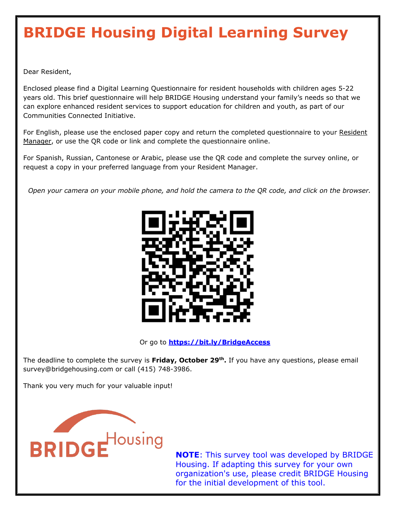## **BRIDGE Housing Digital Learning Survey**

Dear Resident,

Enclosed please find a Digital Learning Questionnaire for resident households with children ages 5-22 years old. This brief questionnaire will help BRIDGE Housing understand your family's needs so that we can explore enhanced resident services to support education for children and youth, as part of our Communities Connected Initiative.

For English, please use the enclosed paper copy and return the completed questionnaire to your Resident Manager, or use the QR code or link and complete the questionnaire online.

For Spanish, Russian, Cantonese or Arabic, please use the QR code and complete the survey online, or request a copy in your preferred language from your Resident Manager.

*Open your camera on your mobile phone, and hold the camera to the QR code, and click on the browser.*



Or go to **<https://bit.ly/BridgeAccess>**

The deadline to complete the survey is **Friday, October 29th.** If you have any questions, please email survey@bridgehousing.com or call (415) 748-3986.

Thank you very much for your valuable input!



**NOTE**: This survey tool was developed by BRIDGE Housing. If adapting this survey for your own organization's use, please credit BRIDGE Housing for the initial development of this tool.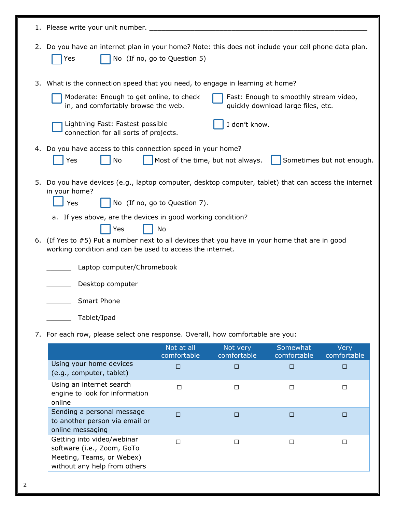|    | 1. Please write your unit number. _                                                                                                                             |                           |                         |                         |                     |  |  |  |  |
|----|-----------------------------------------------------------------------------------------------------------------------------------------------------------------|---------------------------|-------------------------|-------------------------|---------------------|--|--|--|--|
|    | 2. Do you have an internet plan in your home? Note: this does not include your cell phone data plan.<br>No (If no, go to Question 5)<br>Yes                     |                           |                         |                         |                     |  |  |  |  |
|    | 3. What is the connection speed that you need, to engage in learning at home?                                                                                   |                           |                         |                         |                     |  |  |  |  |
|    | Moderate: Enough to get online, to check<br>Fast: Enough to smoothly stream video,<br>in, and comfortably browse the web.<br>quickly download large files, etc. |                           |                         |                         |                     |  |  |  |  |
|    | Lightning Fast: Fastest possible<br>connection for all sorts of projects.                                                                                       |                           | I don't know.           |                         |                     |  |  |  |  |
|    | 4. Do you have access to this connection speed in your home?<br>Most of the time, but not always.<br>Sometimes but not enough.<br>Yes<br><b>No</b>              |                           |                         |                         |                     |  |  |  |  |
| 5. | Do you have devices (e.g., laptop computer, desktop computer, tablet) that can access the internet<br>in your home?<br>No (If no, go to Question 7).<br>Yes     |                           |                         |                         |                     |  |  |  |  |
|    | a. If yes above, are the devices in good working condition?<br>Yes<br>No                                                                                        |                           |                         |                         |                     |  |  |  |  |
|    | 6. (If Yes to #5) Put a number next to all devices that you have in your home that are in good<br>working condition and can be used to access the internet.     |                           |                         |                         |                     |  |  |  |  |
|    | Laptop computer/Chromebook                                                                                                                                      |                           |                         |                         |                     |  |  |  |  |
|    | Desktop computer                                                                                                                                                |                           |                         |                         |                     |  |  |  |  |
|    | Smart Phone                                                                                                                                                     |                           |                         |                         |                     |  |  |  |  |
|    | Tablet/Ipad                                                                                                                                                     |                           |                         |                         |                     |  |  |  |  |
|    | 7. For each row, please select one response. Overall, how comfortable are you:                                                                                  |                           |                         |                         |                     |  |  |  |  |
|    |                                                                                                                                                                 | Not at all<br>comfortable | Not very<br>comfortable | Somewhat<br>comfortable | Very<br>comfortable |  |  |  |  |
|    | Using your home devices<br>(e.g., computer, tablet)                                                                                                             | $\Box$                    | $\Box$                  | $\Box$                  | $\Box$              |  |  |  |  |
|    | Using an internet search<br>engine to look for information<br>online                                                                                            | $\Box$                    | $\Box$                  | $\Box$                  | $\Box$              |  |  |  |  |
|    | Sending a personal message<br>to another person via email or<br>online messaging                                                                                | $\Box$                    | $\Box$                  | $\Box$                  | $\Box$              |  |  |  |  |
|    | Getting into video/webinar<br>software (i.e., Zoom, GoTo                                                                                                        | $\Box$                    | $\Box$                  | $\Box$                  | $\Box$              |  |  |  |  |

Meeting, Teams, or Webex) without any help from others